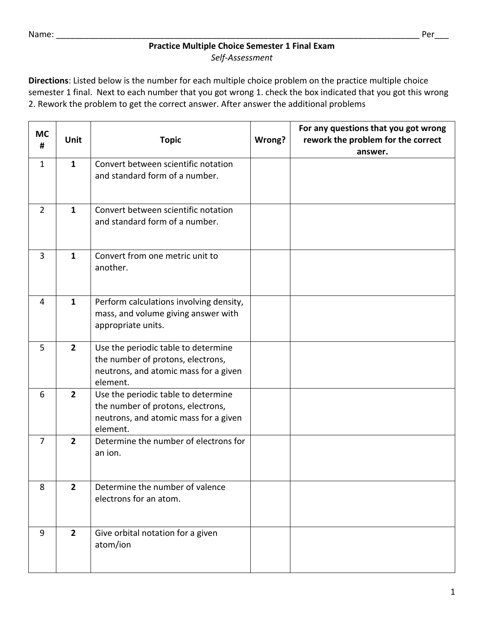## **Practice Multiple Choice Semester 1 Final Exam** *Self-Assessment*

**Directions**: Listed below is the number for each multiple choice problem on the practice multiple choice semester 1 final. Next to each number that you got wrong 1. check the box indicated that you got this wrong 2. Rework the problem to get the correct answer. After answer the additional problems

| <b>MC</b><br># | <b>Unit</b>    | <b>Topic</b>                                                                                                                  | Wrong? | For any questions that you got wrong<br>rework the problem for the correct<br>answer. |
|----------------|----------------|-------------------------------------------------------------------------------------------------------------------------------|--------|---------------------------------------------------------------------------------------|
| $\mathbf{1}$   | $\mathbf{1}$   | Convert between scientific notation<br>and standard form of a number.                                                         |        |                                                                                       |
| $\overline{2}$ | $\mathbf{1}$   | Convert between scientific notation<br>and standard form of a number.                                                         |        |                                                                                       |
| 3              | $\mathbf{1}$   | Convert from one metric unit to<br>another.                                                                                   |        |                                                                                       |
| 4              | $\mathbf{1}$   | Perform calculations involving density,<br>mass, and volume giving answer with<br>appropriate units.                          |        |                                                                                       |
| 5              | $\overline{2}$ | Use the periodic table to determine<br>the number of protons, electrons,<br>neutrons, and atomic mass for a given<br>element. |        |                                                                                       |
| 6              | $\overline{2}$ | Use the periodic table to determine<br>the number of protons, electrons,<br>neutrons, and atomic mass for a given<br>element. |        |                                                                                       |
| 7              | $\overline{2}$ | Determine the number of electrons for<br>an ion.                                                                              |        |                                                                                       |
| 8              | $\overline{2}$ | Determine the number of valence<br>electrons for an atom.                                                                     |        |                                                                                       |
| 9              | $\overline{2}$ | Give orbital notation for a given<br>atom/ion                                                                                 |        |                                                                                       |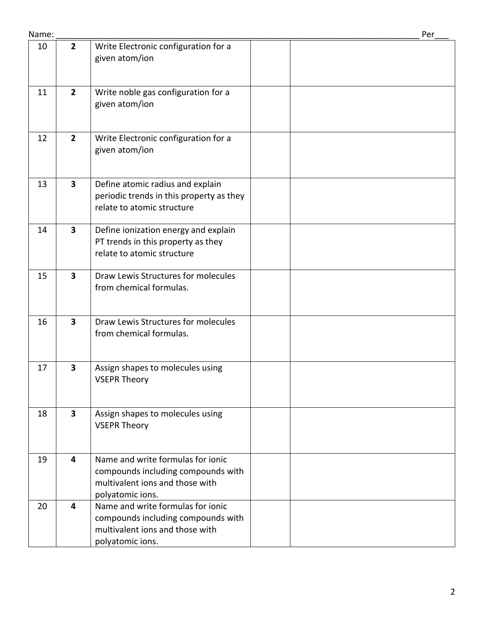| Name: |                         |                                                                                                                                | Per |
|-------|-------------------------|--------------------------------------------------------------------------------------------------------------------------------|-----|
| 10    | $\overline{2}$          | Write Electronic configuration for a<br>given atom/ion                                                                         |     |
| 11    | $\overline{2}$          | Write noble gas configuration for a<br>given atom/ion                                                                          |     |
| 12    | $\overline{2}$          | Write Electronic configuration for a<br>given atom/ion                                                                         |     |
| 13    | $\overline{\mathbf{3}}$ | Define atomic radius and explain<br>periodic trends in this property as they<br>relate to atomic structure                     |     |
| 14    | $\mathbf{3}$            | Define ionization energy and explain<br>PT trends in this property as they<br>relate to atomic structure                       |     |
| 15    | 3                       | Draw Lewis Structures for molecules<br>from chemical formulas.                                                                 |     |
| 16    | 3                       | Draw Lewis Structures for molecules<br>from chemical formulas.                                                                 |     |
| 17    | 3                       | Assign shapes to molecules using<br><b>VSEPR Theory</b>                                                                        |     |
| 18    | $\overline{\mathbf{3}}$ | Assign shapes to molecules using<br><b>VSEPR Theory</b>                                                                        |     |
| 19    | $\overline{\mathbf{4}}$ | Name and write formulas for ionic<br>compounds including compounds with<br>multivalent ions and those with<br>polyatomic ions. |     |
| 20    | $\overline{\mathbf{4}}$ | Name and write formulas for ionic<br>compounds including compounds with<br>multivalent ions and those with<br>polyatomic ions. |     |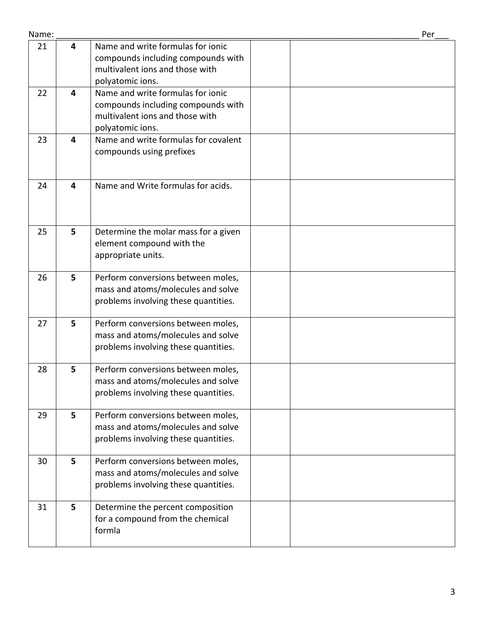| Name: |                         |                                                                                                                                | Per |
|-------|-------------------------|--------------------------------------------------------------------------------------------------------------------------------|-----|
| 21    | 4                       | Name and write formulas for ionic<br>compounds including compounds with<br>multivalent ions and those with<br>polyatomic ions. |     |
| 22    | $\overline{\mathbf{4}}$ | Name and write formulas for ionic<br>compounds including compounds with<br>multivalent ions and those with<br>polyatomic ions. |     |
| 23    | 4                       | Name and write formulas for covalent<br>compounds using prefixes                                                               |     |
| 24    | $\overline{\mathbf{4}}$ | Name and Write formulas for acids.                                                                                             |     |
| 25    | 5                       | Determine the molar mass for a given<br>element compound with the<br>appropriate units.                                        |     |
| 26    | 5                       | Perform conversions between moles,<br>mass and atoms/molecules and solve<br>problems involving these quantities.               |     |
| 27    | 5                       | Perform conversions between moles,<br>mass and atoms/molecules and solve<br>problems involving these quantities.               |     |
| 28    | 5                       | Perform conversions between moles,<br>mass and atoms/molecules and solve<br>problems involving these quantities.               |     |
| 29    | 5                       | Perform conversions between moles,<br>mass and atoms/molecules and solve<br>problems involving these quantities.               |     |
| 30    | 5                       | Perform conversions between moles,<br>mass and atoms/molecules and solve<br>problems involving these quantities.               |     |
| 31    | 5                       | Determine the percent composition<br>for a compound from the chemical<br>formla                                                |     |